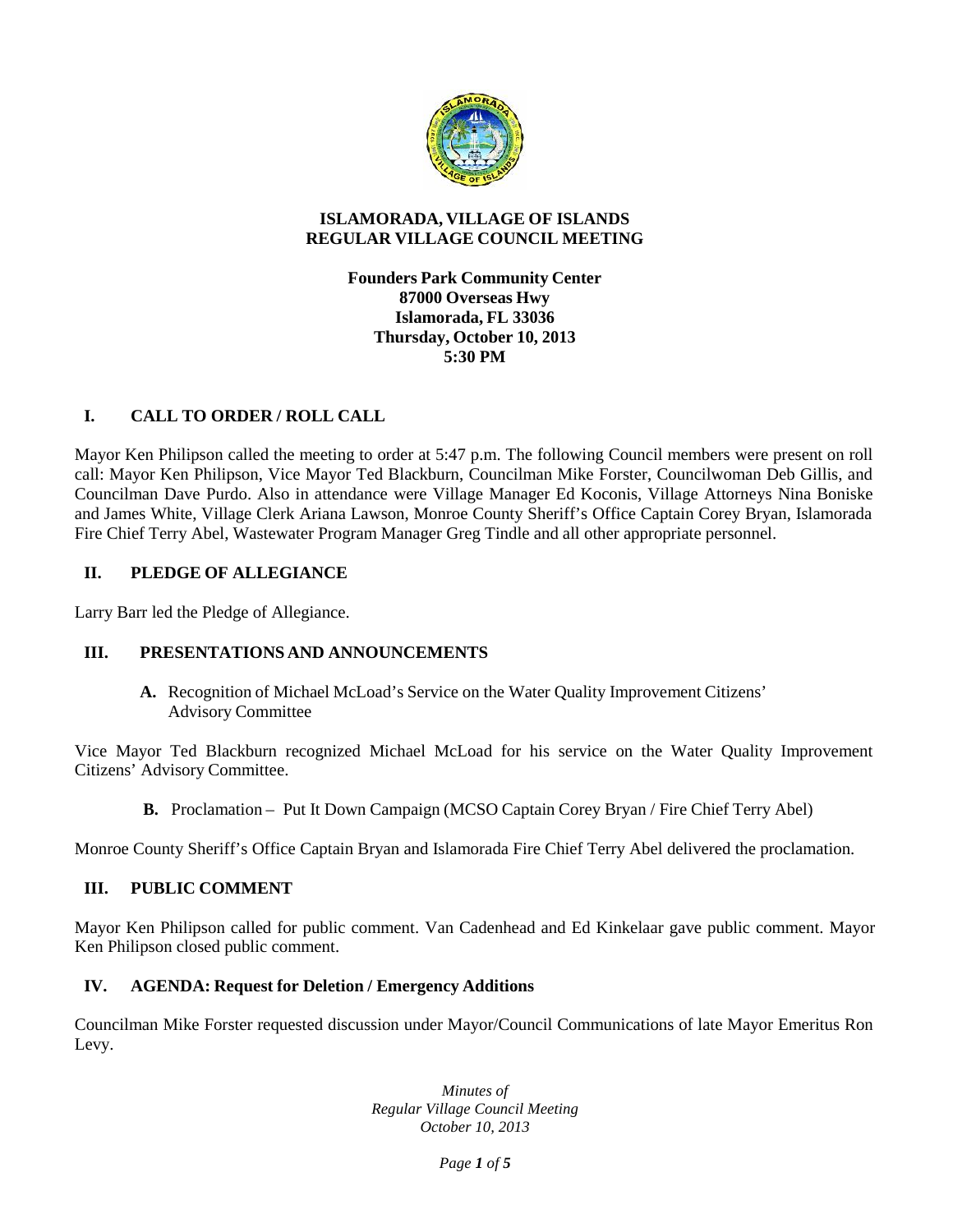

# **ISLAMORADA, VILLAGE OF ISLANDS REGULAR VILLAGE COUNCIL MEETING**

**Founders Park Community Center 87000 Overseas Hwy Islamorada, FL 33036 Thursday, October 10,2013 5:30 PM**

# **I. CALL TO ORDER / ROLL CALL**

Mayor Ken Philipson called the meeting to order at 5:47 p.m. The following Council members were present on roll call: Mayor Ken Philipson, Vice Mayor Ted Blackburn, Councilman Mike Forster, Councilwoman Deb Gillis, and Councilman Dave Purdo. Also in attendance were Village Manager Ed Koconis, Village Attorneys Nina Boniske and James White, Village Clerk Ariana Lawson, Monroe County Sheriff's Office Captain Corey Bryan, Islamorada Fire Chief Terry Abel, Wastewater Program Manager Greg Tindle and all other appropriate personnel.

# **II. PLEDGE OF ALLEGIANCE**

Larry Barr led the Pledge of Allegiance.

# **III. PRESENTATIONS AND ANNOUNCEMENTS**

**A.** Recognition of Michael McLoad's Service on the Water Quality Improvement Citizens' Advisory Committee

Vice Mayor Ted Blackburn recognized Michael McLoad for his service on the Water Quality Improvement Citizens' Advisory Committee.

**B.** Proclamation – Put It Down Campaign (MCSO Captain Corey Bryan / Fire Chief Terry Abel)

Monroe County Sheriff's Office Captain Bryan and Islamorada Fire Chief Terry Abel delivered the proclamation.

# **III. PUBLIC COMMENT**

Mayor Ken Philipson called for public comment. Van Cadenhead and Ed Kinkelaar gave public comment. Mayor Ken Philipson closed public comment.

#### **IV. AGENDA: Request for Deletion / Emergency Additions**

Councilman Mike Forster requested discussion under Mayor/Council Communications of late Mayor Emeritus Ron Levy.

> *Minutes of Regular Village Council Meeting October 10, 2013*

> > *Page 1 of 5*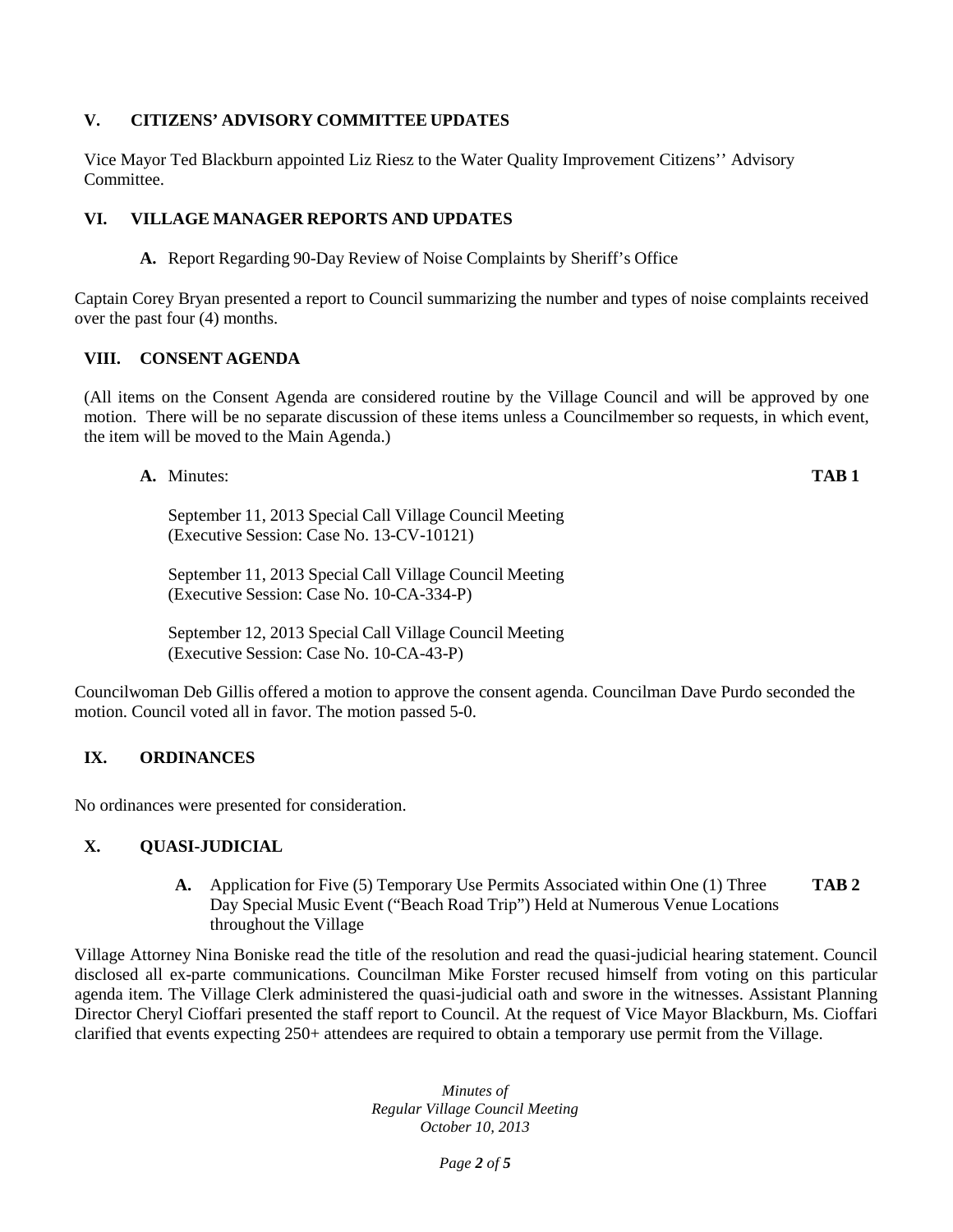# **V. CITIZENS' ADVISORY COMMITTEE UPDATES**

Vice Mayor Ted Blackburn appointed Liz Riesz to the Water Quality Improvement Citizens'' Advisory Committee.

# **VI. VILLAGE MANAGER REPORTS AND UPDATES**

**A.** Report Regarding 90-Day Review of Noise Complaints by Sheriff's Office

Captain Corey Bryan presented a report to Council summarizing the number and types of noise complaints received over the past four (4) months.

#### **VIII. CONSENT AGENDA**

(All items on the Consent Agenda are considered routine by the Village Council and will be approved by one motion. There will be no separate discussion of these items unless a Councilmember so requests, in which event, the item will be moved to the Main Agenda.)

**A.** Minutes: **TAB 1**

September 11, 2013 Special Call Village Council Meeting (Executive Session: Case No. 13-CV-10121)

September 11, 2013 Special Call Village Council Meeting (Executive Session: Case No. 10-CA-334-P)

September 12, 2013 Special Call Village Council Meeting (Executive Session: Case No. 10-CA-43-P)

Councilwoman Deb Gillis offered a motion to approve the consent agenda. Councilman Dave Purdo seconded the motion. Council voted all in favor. The motion passed 5-0.

# **IX. ORDINANCES**

No ordinances were presented for consideration.

#### **X. QUASI-JUDICIAL**

**A.** Application for Five (5) Temporary Use Permits Associated within One (1) Three Day Special Music Event ("Beach Road Trip") Held at Numerous Venue Locations throughout the Village **TAB 2**

Village Attorney Nina Boniske read the title of the resolution and read the quasi-judicial hearing statement. Council disclosed all ex-parte communications. Councilman Mike Forster recused himself from voting on this particular agenda item. The Village Clerk administered the quasi-judicial oath and swore in the witnesses. Assistant Planning Director Cheryl Cioffari presented the staff report to Council. At the request of Vice Mayor Blackburn, Ms. Cioffari clarified that events expecting 250+ attendees are required to obtain a temporary use permit from the Village.

> *Minutes of Regular Village Council Meeting October 10, 2013*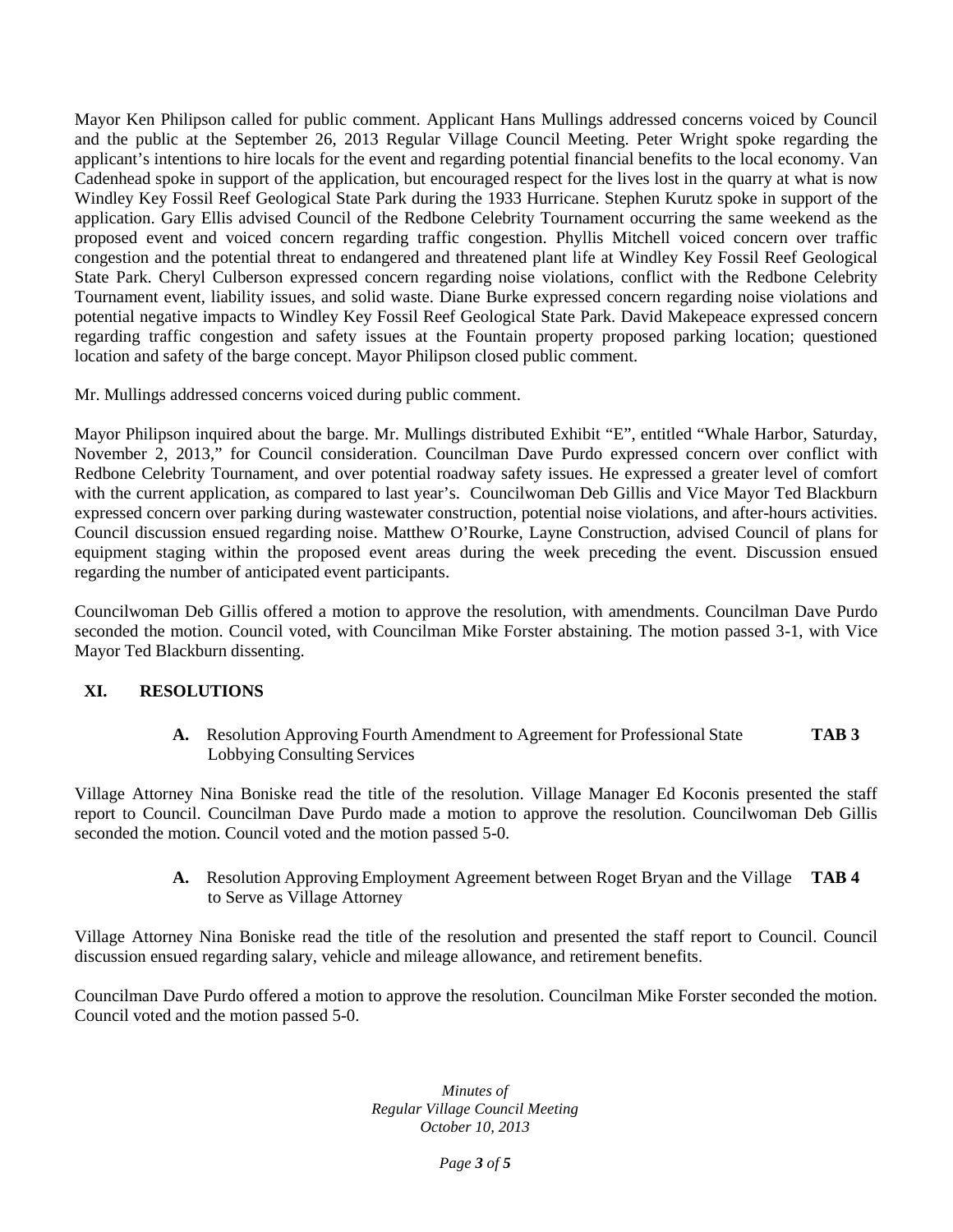Mayor Ken Philipson called for public comment. Applicant Hans Mullings addressed concerns voiced by Council and the public at the September 26, 2013 Regular Village Council Meeting. Peter Wright spoke regarding the applicant's intentions to hire locals for the event and regarding potential financial benefits to the local economy. Van Cadenhead spoke in support of the application, but encouraged respect for the lives lost in the quarry at what is now Windley Key Fossil Reef Geological State Park during the 1933 Hurricane. Stephen Kurutz spoke in support of the application. Gary Ellis advised Council of the Redbone Celebrity Tournament occurring the same weekend as the proposed event and voiced concern regarding traffic congestion. Phyllis Mitchell voiced concern over traffic congestion and the potential threat to endangered and threatened plant life at Windley Key Fossil Reef Geological State Park. Cheryl Culberson expressed concern regarding noise violations, conflict with the Redbone Celebrity Tournament event, liability issues, and solid waste. Diane Burke expressed concern regarding noise violations and potential negative impacts to Windley Key Fossil Reef Geological State Park. David Makepeace expressed concern regarding traffic congestion and safety issues at the Fountain property proposed parking location; questioned location and safety of the barge concept. Mayor Philipson closed public comment.

Mr. Mullings addressed concerns voiced during public comment.

Mayor Philipson inquired about the barge. Mr. Mullings distributed Exhibit "E", entitled "Whale Harbor, Saturday, November 2, 2013," for Council consideration. Councilman Dave Purdo expressed concern over conflict with Redbone Celebrity Tournament, and over potential roadway safety issues. He expressed a greater level of comfort with the current application, as compared to last year's. Councilwoman Deb Gillis and Vice Mayor Ted Blackburn expressed concern over parking during wastewater construction, potential noise violations, and after-hours activities. Council discussion ensued regarding noise. Matthew O'Rourke, Layne Construction, advised Council of plans for equipment staging within the proposed event areas during the week preceding the event. Discussion ensued regarding the number of anticipated event participants.

Councilwoman Deb Gillis offered a motion to approve the resolution, with amendments. Councilman Dave Purdo seconded the motion. Council voted, with Councilman Mike Forster abstaining. The motion passed 3-1, with Vice Mayor Ted Blackburn dissenting.

# **XI. RESOLUTIONS**

**A.** Resolution Approving Fourth Amendment to Agreement for Professional State **TAB 3** Lobbying Consulting Services

Village Attorney Nina Boniske read the title of the resolution. Village Manager Ed Koconis presented the staff report to Council. Councilman Dave Purdo made a motion to approve the resolution. Councilwoman Deb Gillis seconded the motion. Council voted and the motion passed 5-0.

> **A.** Resolution Approving Employment Agreement between Roget Bryan and the Village **TAB 4** to Serve as Village Attorney

Village Attorney Nina Boniske read the title of the resolution and presented the staff report to Council. Council discussion ensued regarding salary, vehicle and mileage allowance, and retirement benefits.

Councilman Dave Purdo offered a motion to approve the resolution. Councilman Mike Forster seconded the motion. Council voted and the motion passed 5-0.

> *Minutes of Regular Village Council Meeting October 10, 2013*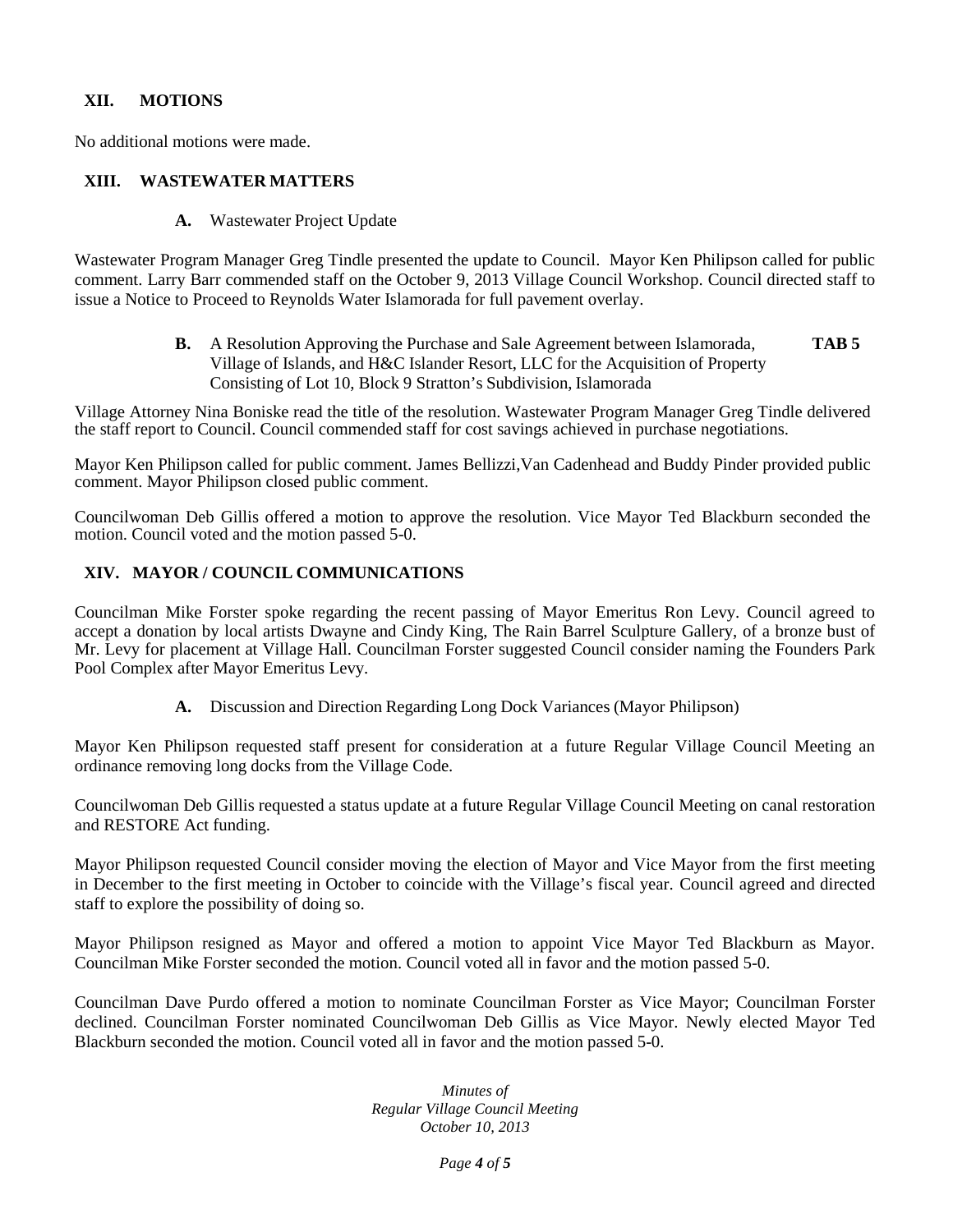#### **XII. MOTIONS**

No additional motions were made.

#### **XIII. WASTEWATER MATTERS**

**A.** Wastewater Project Update

Wastewater Program Manager Greg Tindle presented the update to Council. Mayor Ken Philipson called for public comment. Larry Barr commended staff on the October 9, 2013 Village Council Workshop. Council directed staff to issue a Notice to Proceed to Reynolds Water Islamorada for full pavement overlay.

> **B.** A Resolution Approving the Purchase and Sale Agreement between Islamorada, Village of Islands, and H&C Islander Resort, LLC for the Acquisition of Property Consisting of Lot 10, Block 9 Stratton's Subdivision, Islamorada **TAB 5**

Village Attorney Nina Boniske read the title of the resolution. Wastewater Program Manager Greg Tindle delivered the staff report to Council. Council commended staff for cost savings achieved in purchase negotiations.

Mayor Ken Philipson called for public comment. James Bellizzi,Van Cadenhead and Buddy Pinder provided public comment. Mayor Philipson closed public comment.

Councilwoman Deb Gillis offered a motion to approve the resolution. Vice Mayor Ted Blackburn seconded the motion. Council voted and the motion passed 5-0.

#### **XIV. MAYOR / COUNCIL COMMUNICATIONS**

Councilman Mike Forster spoke regarding the recent passing of Mayor Emeritus Ron Levy. Council agreed to accept a donation by local artists Dwayne and Cindy King, The Rain Barrel Sculpture Gallery, of a bronze bust of Mr. Levy for placement at Village Hall. Councilman Forster suggested Council consider naming the Founders Park Pool Complex after Mayor Emeritus Levy.

**A.** Discussion and Direction Regarding Long Dock Variances (Mayor Philipson)

Mayor Ken Philipson requested staff present for consideration at a future Regular Village Council Meeting an ordinance removing long docks from the Village Code.

Councilwoman Deb Gillis requested a status update at a future Regular Village Council Meeting on canal restoration and RESTORE Act funding.

Mayor Philipson requested Council consider moving the election of Mayor and Vice Mayor from the first meeting in December to the first meeting in October to coincide with the Village's fiscal year. Council agreed and directed staff to explore the possibility of doing so.

Mayor Philipson resigned as Mayor and offered a motion to appoint Vice Mayor Ted Blackburn as Mayor. Councilman Mike Forster seconded the motion. Council voted all in favor and the motion passed 5-0.

Councilman Dave Purdo offered a motion to nominate Councilman Forster as Vice Mayor; Councilman Forster declined. Councilman Forster nominated Councilwoman Deb Gillis as Vice Mayor. Newly elected Mayor Ted Blackburn seconded the motion. Council voted all in favor and the motion passed 5-0.

#### *Minutes of Regular Village Council Meeting October 10, 2013*

*Page 4 of 5*